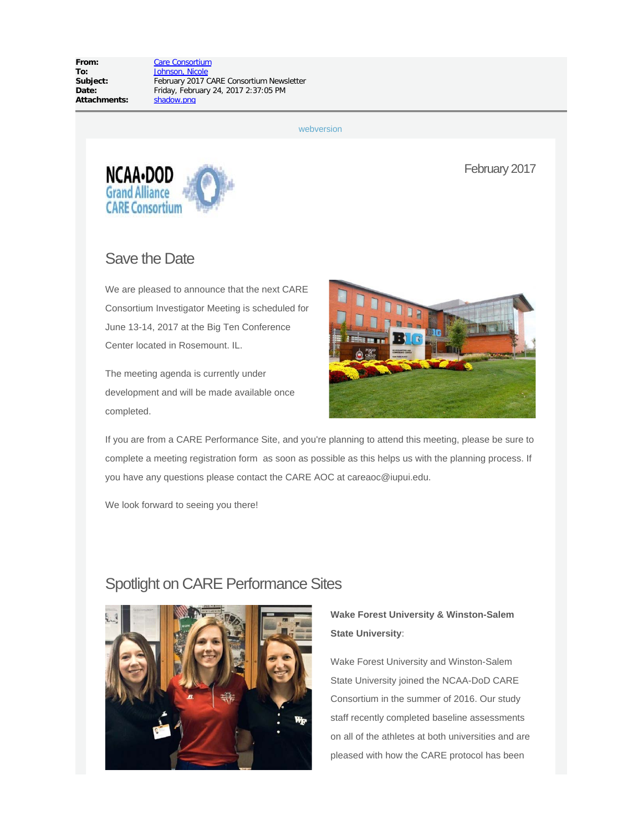**From:** [Care Consortium](mailto:careaoc@iupui.edu) **To:** [Johnson, Nicole](mailto:njohnso2@iu.edu)<br> **Subject:** February 2017 **Attachments:** shadow.png

February 2017 CARE Consortium Newsletter **Date:** Friday, February 24, 2017 2:37:05 PM

[webversion](http://careconsortium.net/mymail/1307/7232e321d230c175912fcbbafb0ae99d/aHR0cDovL2NhcmVjb25zb3J0aXVtLm5ldC9uZXdzbGV0dGVyL2ZlYnJ1YXJ5LTIwMTctY2FyZS1jb25zb3J0aXVtLW5ld3NsZXR0ZXIv)

February 2017



## Save the Date

We are pleased to announce that the next CARE Consortium Investigator Meeting is scheduled for June 13-14, 2017 at the Big Ten Conference Center located in Rosemount. IL.

The meeting agenda is currently under development and will be made available once completed.



If you are from a CARE Performance Site, and you're planning to attend this meeting, please be sure to complete a meeting registration form as soon as possible as this helps us with the planning process. If you have any questions please contact the CARE AOC at careaoc@iupui.edu.

We look forward to seeing you there!

## Spotlight on CARE Performance Sites



**Wake Forest University & Winston-Salem State University**:

Wake Forest University and Winston-Salem State University joined the NCAA-DoD CARE Consortium in the summer of 2016. Our study staff recently completed baseline assessments on all of the athletes at both universities and are pleased with how the CARE protocol has been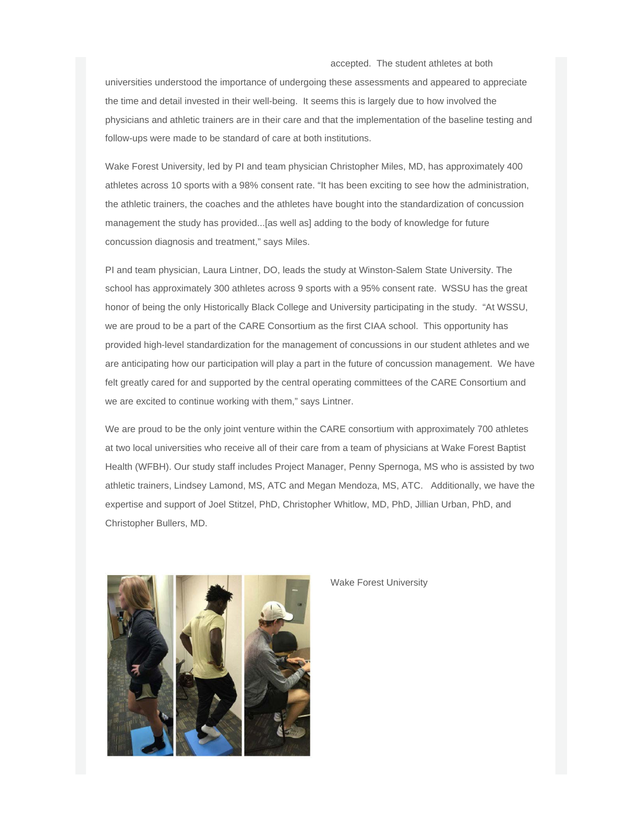#### accepted. The student athletes at both

universities understood the importance of undergoing these assessments and appeared to appreciate the time and detail invested in their well-being. It seems this is largely due to how involved the physicians and athletic trainers are in their care and that the implementation of the baseline testing and follow-ups were made to be standard of care at both institutions.

Wake Forest University, led by PI and team physician Christopher Miles, MD, has approximately 400 athletes across 10 sports with a 98% consent rate. "It has been exciting to see how the administration, the athletic trainers, the coaches and the athletes have bought into the standardization of concussion management the study has provided...[as well as] adding to the body of knowledge for future concussion diagnosis and treatment," says Miles.

PI and team physician, Laura Lintner, DO, leads the study at Winston-Salem State University. The school has approximately 300 athletes across 9 sports with a 95% consent rate. WSSU has the great honor of being the only Historically Black College and University participating in the study. "At WSSU, we are proud to be a part of the CARE Consortium as the first CIAA school. This opportunity has provided high-level standardization for the management of concussions in our student athletes and we are anticipating how our participation will play a part in the future of concussion management. We have felt greatly cared for and supported by the central operating committees of the CARE Consortium and we are excited to continue working with them," says Lintner.

We are proud to be the only joint venture within the CARE consortium with approximately 700 athletes at two local universities who receive all of their care from a team of physicians at Wake Forest Baptist Health (WFBH). Our study staff includes Project Manager, Penny Spernoga, MS who is assisted by two athletic trainers, Lindsey Lamond, MS, ATC and Megan Mendoza, MS, ATC. Additionally, we have the expertise and support of Joel Stitzel, PhD, Christopher Whitlow, MD, PhD, Jillian Urban, PhD, and Christopher Bullers, MD.



Wake Forest University